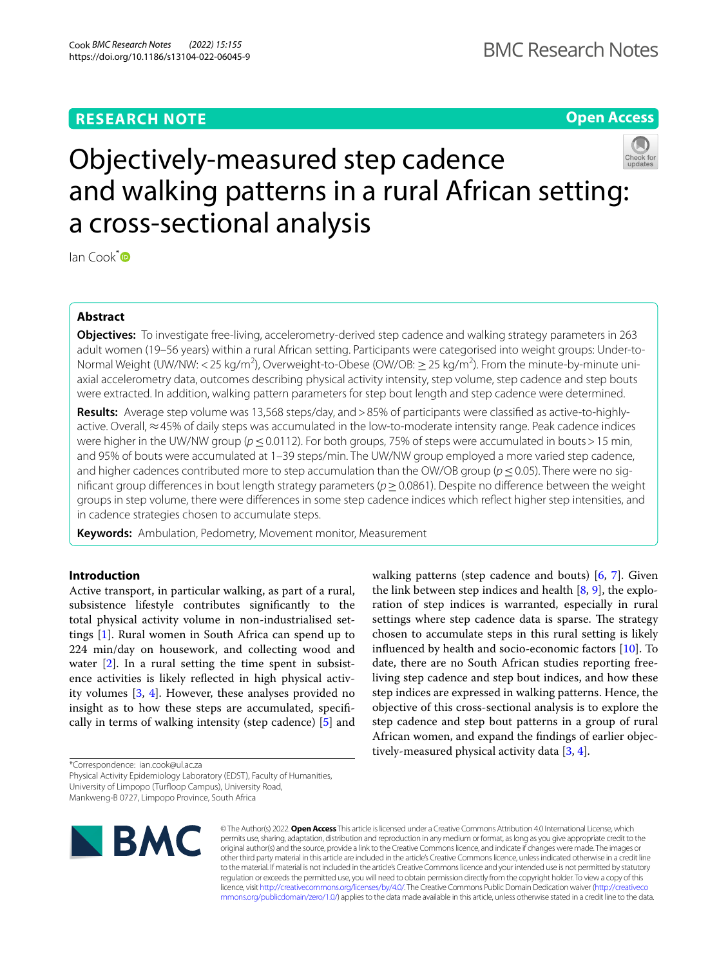# **RESEARCH NOTE**

**Open Access**



Ian Cook[\\*](http://orcid.org/0000-0001-5098-2936) 

## **Abstract**

**Objectives:** To investigate free-living, accelerometry-derived step cadence and walking strategy parameters in 263 adult women (19–56 years) within a rural African setting. Participants were categorised into weight groups: Under-to-Normal Weight (UW/NW: < 25 kg/m<sup>2</sup>), Overweight-to-Obese (OW/OB:  $\geq$  25 kg/m<sup>2</sup>). From the minute-by-minute uniaxial accelerometry data, outcomes describing physical activity intensity, step volume, step cadence and step bouts were extracted. In addition, walking pattern parameters for step bout length and step cadence were determined.

**Results:** Average step volume was 13,568 steps/day, and>85% of participants were classifed as active-to-highlyactive. Overall, ≈45% of daily steps was accumulated in the low-to-moderate intensity range. Peak cadence indices were higher in the UW/NW group (*p* ≤ 0.0112). For both groups, 75% of steps were accumulated in bouts > 15 min, and 95% of bouts were accumulated at 1–39 steps/min. The UW/NW group employed a more varied step cadence, and higher cadences contributed more to step accumulation than the OW/OB group (*p*≤0.05). There were no signifcant group diferences in bout length strategy parameters (*p*≥0.0861). Despite no diference between the weight groups in step volume, there were diferences in some step cadence indices which refect higher step intensities, and in cadence strategies chosen to accumulate steps.

**Keywords:** Ambulation, Pedometry, Movement monitor, Measurement

## **Introduction**

Active transport, in particular walking, as part of a rural, subsistence lifestyle contributes signifcantly to the total physical activity volume in non-industrialised settings [\[1\]](#page-6-0). Rural women in South Africa can spend up to 224 min/day on housework, and collecting wood and water  $[2]$  $[2]$ . In a rural setting the time spent in subsistence activities is likely refected in high physical activity volumes [\[3](#page-6-2), [4\]](#page-6-3). However, these analyses provided no insight as to how these steps are accumulated, specifcally in terms of walking intensity (step cadence) [\[5](#page-6-4)] and

\*Correspondence: ian.cook@ul.ac.za

Physical Activity Epidemiology Laboratory (EDST), Faculty of Humanities,

Mankweng-B 0727, Limpopo Province, South Africa



© The Author(s) 2022. **Open Access** This article is licensed under a Creative Commons Attribution 4.0 International License, which permits use, sharing, adaptation, distribution and reproduction in any medium or format, as long as you give appropriate credit to the original author(s) and the source, provide a link to the Creative Commons licence, and indicate if changes were made. The images or other third party material in this article are included in the article's Creative Commons licence, unless indicated otherwise in a credit line to the material. If material is not included in the article's Creative Commons licence and your intended use is not permitted by statutory regulation or exceeds the permitted use, you will need to obtain permission directly from the copyright holder. To view a copy of this licence, visit [http://creativecommons.org/licenses/by/4.0/.](http://creativecommons.org/licenses/by/4.0/) The Creative Commons Public Domain Dedication waiver ([http://creativeco](http://creativecommons.org/publicdomain/zero/1.0/) [mmons.org/publicdomain/zero/1.0/](http://creativecommons.org/publicdomain/zero/1.0/)) applies to the data made available in this article, unless otherwise stated in a credit line to the data.

walking patterns (step cadence and bouts) [\[6](#page-6-5), [7](#page-6-6)]. Given the link between step indices and health  $[8, 9]$  $[8, 9]$  $[8, 9]$  $[8, 9]$ , the exploration of step indices is warranted, especially in rural settings where step cadence data is sparse. The strategy chosen to accumulate steps in this rural setting is likely infuenced by health and socio-economic factors [[10\]](#page-6-9). To date, there are no South African studies reporting freeliving step cadence and step bout indices, and how these step indices are expressed in walking patterns. Hence, the objective of this cross-sectional analysis is to explore the step cadence and step bout patterns in a group of rural African women, and expand the fndings of earlier objectively-measured physical activity data [\[3](#page-6-2), [4](#page-6-3)].

University of Limpopo (Turfoop Campus), University Road,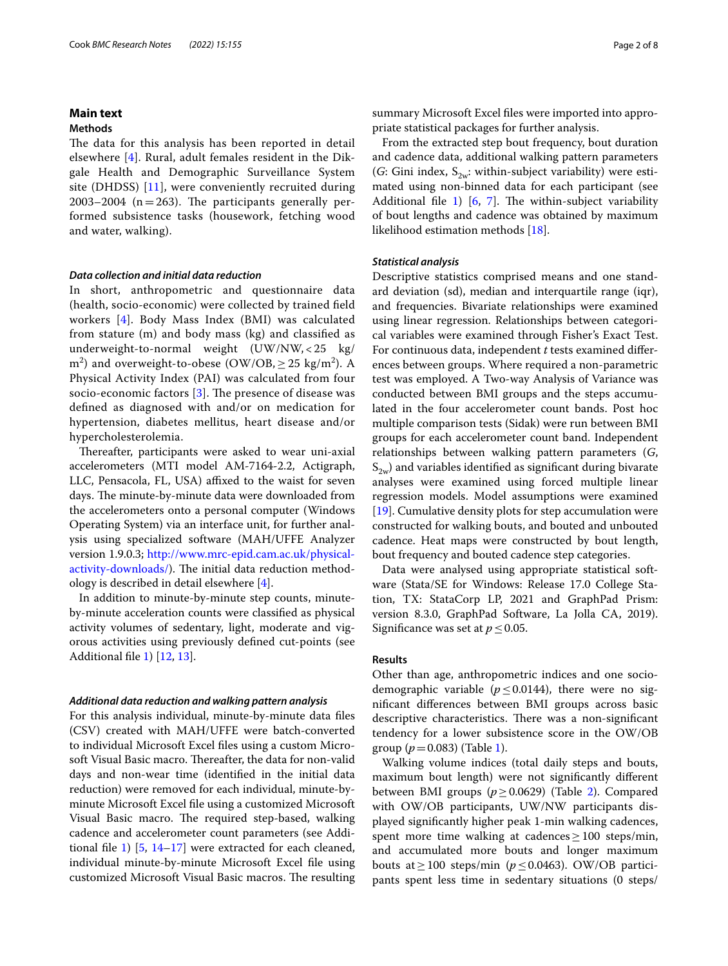## **Main text**

## **Methods**

The data for this analysis has been reported in detail elsewhere [[4\]](#page-6-3). Rural, adult females resident in the Dikgale Health and Demographic Surveillance System site (DHDSS) [[11\]](#page-6-10), were conveniently recruited during 2003–2004 ( $n=263$ ). The participants generally performed subsistence tasks (housework, fetching wood and water, walking).

### *Data collection and initial data reduction*

In short, anthropometric and questionnaire data (health, socio-economic) were collected by trained feld workers [[4\]](#page-6-3). Body Mass Index (BMI) was calculated from stature (m) and body mass (kg) and classifed as underweight-to-normal weight (UW/NW, < 25 kg/ m<sup>2</sup>) and overweight-to-obese (OW/OB,  $\geq$  25 kg/m<sup>2</sup>). A Physical Activity Index (PAI) was calculated from four socio-economic factors  $[3]$  $[3]$ . The presence of disease was defned as diagnosed with and/or on medication for hypertension, diabetes mellitus, heart disease and/or hypercholesterolemia.

Thereafter, participants were asked to wear uni-axial accelerometers (MTI model AM-7164-2.2, Actigraph, LLC, Pensacola, FL, USA) affixed to the waist for seven days. The minute-by-minute data were downloaded from the accelerometers onto a personal computer (Windows Operating System) via an interface unit, for further analysis using specialized software (MAH/UFFE Analyzer version 1.9.0.3; [http://www.mrc-epid.cam.ac.uk/physical](http://www.mrc-epid.cam.ac.uk/physical-activity-downloads/)[activity-downloads/](http://www.mrc-epid.cam.ac.uk/physical-activity-downloads/)). The initial data reduction methodology is described in detail elsewhere [\[4](#page-6-3)].

In addition to minute-by-minute step counts, minuteby-minute acceleration counts were classifed as physical activity volumes of sedentary, light, moderate and vigorous activities using previously defned cut-points (see Additional fle [1](#page-6-11)) [[12,](#page-6-12) [13](#page-6-13)].

#### *Additional data reduction and walking pattern analysis*

For this analysis individual, minute-by-minute data fles (CSV) created with MAH/UFFE were batch-converted to individual Microsoft Excel fles using a custom Microsoft Visual Basic macro. Thereafter, the data for non-valid days and non-wear time (identifed in the initial data reduction) were removed for each individual, minute-byminute Microsoft Excel fle using a customized Microsoft Visual Basic macro. The required step-based, walking cadence and accelerometer count parameters (see Additional fle [1\)](#page-6-11) [[5](#page-6-4), [14–](#page-6-14)[17\]](#page-6-15) were extracted for each cleaned, individual minute-by-minute Microsoft Excel fle using customized Microsoft Visual Basic macros. The resulting summary Microsoft Excel fles were imported into appropriate statistical packages for further analysis.

From the extracted step bout frequency, bout duration and cadence data, additional walking pattern parameters (*G*: Gini index,  $S_{2w}$ : within-subject variability) were estimated using non-binned data for each participant (see Additional file [1](#page-6-11))  $[6, 7]$  $[6, 7]$  $[6, 7]$  $[6, 7]$ . The within-subject variability of bout lengths and cadence was obtained by maximum likelihood estimation methods [[18\]](#page-6-16).

#### *Statistical analysis*

Descriptive statistics comprised means and one standard deviation (sd), median and interquartile range (iqr), and frequencies. Bivariate relationships were examined using linear regression. Relationships between categorical variables were examined through Fisher's Exact Test. For continuous data, independent *t* tests examined diferences between groups. Where required a non-parametric test was employed. A Two-way Analysis of Variance was conducted between BMI groups and the steps accumulated in the four accelerometer count bands. Post hoc multiple comparison tests (Sidak) were run between BMI groups for each accelerometer count band. Independent relationships between walking pattern parameters (*G*,  $S_{2w}$ ) and variables identified as significant during bivarate analyses were examined using forced multiple linear regression models. Model assumptions were examined [[19\]](#page-6-17). Cumulative density plots for step accumulation were constructed for walking bouts, and bouted and unbouted cadence. Heat maps were constructed by bout length, bout frequency and bouted cadence step categories.

Data were analysed using appropriate statistical software (Stata/SE for Windows: Release 17.0 College Station, TX: StataCorp LP, 2021 and GraphPad Prism: version 8.3.0, GraphPad Software, La Jolla CA, 2019). Significance was set at  $p \leq 0.05$ .

## **Results**

Other than age, anthropometric indices and one sociodemographic variable ( $p \le 0.0144$ ), there were no signifcant diferences between BMI groups across basic descriptive characteristics. There was a non-significant tendency for a lower subsistence score in the OW/OB group  $(p=0.083)$  (Table [1\)](#page-2-0).

Walking volume indices (total daily steps and bouts, maximum bout length) were not signifcantly diferent between BMI groups (*p*≥0.0629) (Table [2\)](#page-3-0). Compared with OW/OB participants, UW/NW participants displayed signifcantly higher peak 1-min walking cadences, spent more time walking at cadences  $\geq 100$  steps/min, and accumulated more bouts and longer maximum bouts at ≥100 steps/min ( $p$  ≤ 0.0463). OW/OB participants spent less time in sedentary situations (0 steps/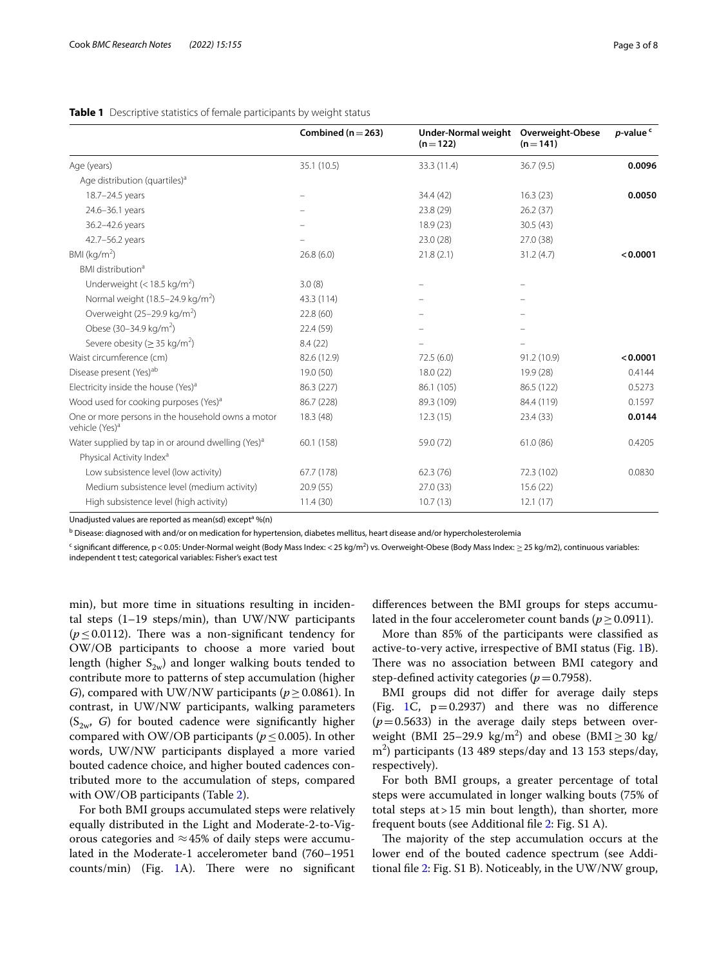|                                                                                 | Combined ( $n = 263$ ) | Under-Normal weight Overweight-Obese<br>$(n=122)$ | $(n = 141)$ | p-value <sup>c</sup> |
|---------------------------------------------------------------------------------|------------------------|---------------------------------------------------|-------------|----------------------|
| Age (years)                                                                     | 35.1 (10.5)            | 33.3 (11.4)                                       | 36.7(9.5)   | 0.0096               |
| Age distribution (quartiles) <sup>a</sup>                                       |                        |                                                   |             |                      |
| 18.7-24.5 years                                                                 |                        | 34.4 (42)                                         | 16.3(23)    | 0.0050               |
| 24.6-36.1 years                                                                 |                        | 23.8 (29)                                         | 26.2(37)    |                      |
| 36.2-42.6 years                                                                 |                        | 18.9(23)                                          | 30.5(43)    |                      |
| 42.7-56.2 years                                                                 |                        | 23.0(28)                                          | 27.0 (38)   |                      |
| BMI ( $kg/m2$ )                                                                 | 26.8(6.0)              | 21.8(2.1)                                         | 31.2(4.7)   | < 0.0001             |
| BMI distribution <sup>a</sup>                                                   |                        |                                                   |             |                      |
| Underweight (< 18.5 kg/m <sup>2</sup> )                                         | 3.0(8)                 |                                                   |             |                      |
| Normal weight $(18.5-24.9 \text{ kg/m}^2)$                                      | 43.3 (114)             |                                                   |             |                      |
| Overweight (25–29.9 kg/m <sup>2</sup> )                                         | 22.8(60)               |                                                   |             |                      |
| Obese (30-34.9 kg/m <sup>2</sup> )                                              | 22.4 (59)              |                                                   |             |                      |
| Severe obesity ( $\geq$ 35 kg/m <sup>2</sup> )                                  | 8.4(22)                |                                                   |             |                      |
| Waist circumference (cm)                                                        | 82.6 (12.9)            | 72.5(6.0)                                         | 91.2 (10.9) | < 0.0001             |
| Disease present (Yes) <sup>ab</sup>                                             | 19.0 (50)              | 18.0(22)                                          | 19.9 (28)   | 0.4144               |
| Electricity inside the house (Yes) <sup>a</sup>                                 | 86.3 (227)             | 86.1 (105)                                        | 86.5 (122)  | 0.5273               |
| Wood used for cooking purposes (Yes) <sup>a</sup>                               | 86.7 (228)             | 89.3 (109)                                        | 84.4 (119)  | 0.1597               |
| One or more persons in the household owns a motor<br>vehicle (Yes) <sup>a</sup> | 18.3 (48)              | 12.3(15)                                          | 23.4(33)    | 0.0144               |
| Water supplied by tap in or around dwelling (Yes) <sup>a</sup>                  | 60.1 (158)             | 59.0 (72)                                         | 61.0(86)    | 0.4205               |
| Physical Activity Index <sup>a</sup>                                            |                        |                                                   |             |                      |
| Low subsistence level (low activity)                                            | 67.7 (178)             | 62.3(76)                                          | 72.3 (102)  | 0.0830               |
| Medium subsistence level (medium activity)                                      | 20.9(55)               | 27.0(33)                                          | 15.6(22)    |                      |
| High subsistence level (high activity)                                          | 11.4(30)               | 10.7(13)                                          | 12.1(17)    |                      |

## <span id="page-2-0"></span>**Table 1** Descriptive statistics of female participants by weight status

Unadjusted values are reported as mean(sd) except<sup>a</sup> %(n)

<sup>b</sup> Disease: diagnosed with and/or on medication for hypertension, diabetes mellitus, heart disease and/or hypercholesterolemia

 $^{\mathsf{c}}$  significant difference, p<0.05: Under-Normal weight (Body Mass Index: <25 kg/m<sup>2</sup>) vs. Overweight-Obese (Body Mass Index:  $\geq$ 25 kg/m2), continuous variables: independent t test; categorical variables: Fisher's exact test

min), but more time in situations resulting in incidental steps (1–19 steps/min), than UW/NW participants ( $p \leq 0.0112$ ). There was a non-significant tendency for OW/OB participants to choose a more varied bout length (higher  $S_{2w}$ ) and longer walking bouts tended to contribute more to patterns of step accumulation (higher *G*), compared with UW/NW participants ( $p \ge 0.0861$ ). In contrast, in UW/NW participants, walking parameters  $(S_{2w}, G)$  for bouted cadence were significantly higher compared with OW/OB participants ( $p \leq 0.005$ ). In other words, UW/NW participants displayed a more varied bouted cadence choice, and higher bouted cadences contributed more to the accumulation of steps, compared with OW/OB participants (Table [2\)](#page-3-0).

For both BMI groups accumulated steps were relatively equally distributed in the Light and Moderate-2-to-Vigorous categories and  $\approx$  45% of daily steps were accumulated in the Moderate-1 accelerometer band (760–1951  $counts/min)$  (Fig. [1](#page-4-0)A). There were no significant

diferences between the BMI groups for steps accumulated in the four accelerometer count bands ( $p \ge 0.0911$ ).

More than 85% of the participants were classifed as active-to-very active, irrespective of BMI status (Fig. [1](#page-4-0)B). There was no association between BMI category and step-defined activity categories ( $p=0.7958$ ).

BMI groups did not difer for average daily steps (Fig. [1](#page-4-0)C,  $p=0.2937$ ) and there was no difference  $(p=0.5633)$  in the average daily steps between overweight (BMI 25–29.9  $\text{kg/m}^2$ ) and obese (BMI  $\geq$  30 kg/ m2 ) participants (13 489 steps/day and 13 153 steps/day, respectively).

For both BMI groups, a greater percentage of total steps were accumulated in longer walking bouts (75% of total steps at>15 min bout length), than shorter, more frequent bouts (see Additional fle [2](#page-6-18): Fig. S1 A).

The majority of the step accumulation occurs at the lower end of the bouted cadence spectrum (see Additional fle [2](#page-6-18): Fig. S1 B). Noticeably, in the UW/NW group,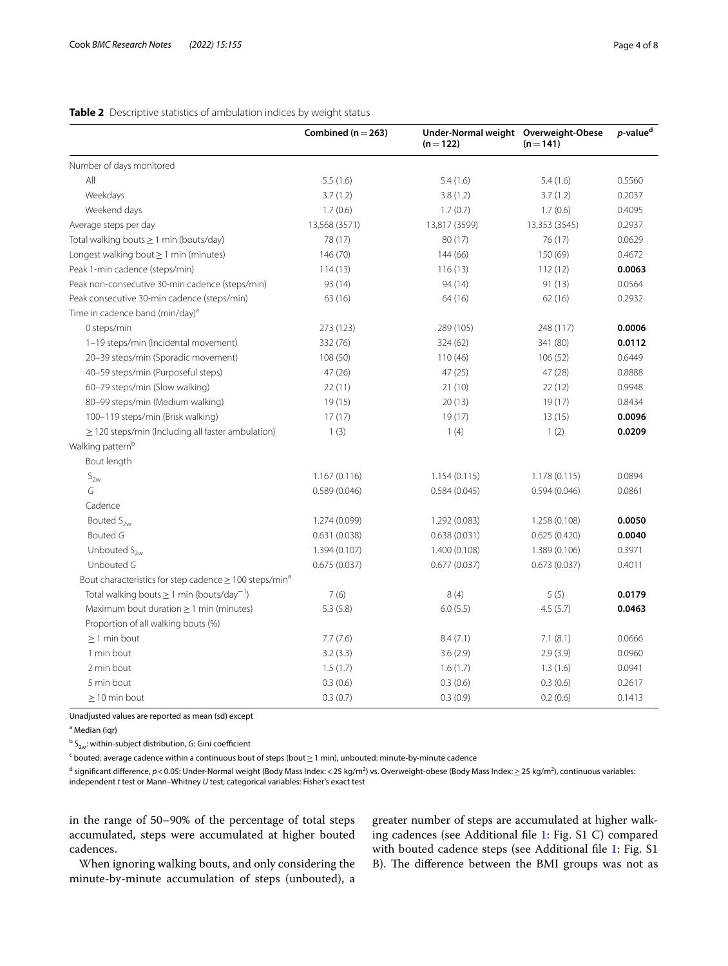## <span id="page-3-0"></span>**Table 2** Descriptive statistics of ambulation indices by weight status

|                                                                         | Combined ( $n = 263$ ) | Under-Normal weight Overweight-Obese<br>$(n=122)$ | $(n=141)$     | $p$ -value <sup>d</sup> |
|-------------------------------------------------------------------------|------------------------|---------------------------------------------------|---------------|-------------------------|
| Number of days monitored                                                |                        |                                                   |               |                         |
| All                                                                     | 5.5(1.6)               | 5.4(1.6)                                          | 5.4(1.6)      | 0.5560                  |
| Weekdays                                                                | 3.7(1.2)               | 3.8(1.2)                                          | 3.7(1.2)      | 0.2037                  |
| Weekend days                                                            | 1.7(0.6)               | 1.7(0.7)                                          | 1.7(0.6)      | 0.4095                  |
| Average steps per day                                                   | 13,568 (3571)          | 13,817 (3599)                                     | 13,353 (3545) | 0.2937                  |
| Total walking bouts $\geq 1$ min (bouts/day)                            | 78 (17)                | 80(17)                                            | 76 (17)       | 0.0629                  |
| Longest walking bout $\geq 1$ min (minutes)                             | 146 (70)               | 144 (66)                                          | 150 (69)      | 0.4672                  |
| Peak 1-min cadence (steps/min)                                          | 114(13)                | 116(13)                                           | 112(12)       | 0.0063                  |
| Peak non-consecutive 30-min cadence (steps/min)                         | 93 (14)                | 94 (14)                                           | 91(13)        | 0.0564                  |
| Peak consecutive 30-min cadence (steps/min)                             | 63 (16)                | 64 (16)                                           | 62(16)        | 0.2932                  |
| Time in cadence band (min/day) <sup>a</sup>                             |                        |                                                   |               |                         |
| 0 steps/min                                                             | 273 (123)              | 289 (105)                                         | 248 (117)     | 0.0006                  |
| 1-19 steps/min (Incidental movement)                                    | 332 (76)               | 324 (62)                                          | 341 (80)      | 0.0112                  |
| 20-39 steps/min (Sporadic movement)                                     | 108 (50)               | 110(46)                                           | 106 (52)      | 0.6449                  |
| 40-59 steps/min (Purposeful steps)                                      | 47(26)                 | 47(25)                                            | 47(28)        | 0.8888                  |
| 60-79 steps/min (Slow walking)                                          | 22(11)                 | 21(10)                                            | 22(12)        | 0.9948                  |
| 80-99 steps/min (Medium walking)                                        | 19(15)                 | 20(13)                                            | 19(17)        | 0.8434                  |
| 100-119 steps/min (Brisk walking)                                       | 17(17)                 | 19(17)                                            | 13(15)        | 0.0096                  |
| $\geq$ 120 steps/min (Including all faster ambulation)                  | 1(3)                   | 1(4)                                              | 1(2)          | 0.0209                  |
| Walking pattern <sup>b</sup>                                            |                        |                                                   |               |                         |
| Bout length                                                             |                        |                                                   |               |                         |
| $S_{2w}$                                                                | 1.167(0.116)           | 1.154(0.115)                                      | 1.178(0.115)  | 0.0894                  |
| G                                                                       | 0.589(0.046)           | 0.584(0.045)                                      | 0.594(0.046)  | 0.0861                  |
| Cadence                                                                 |                        |                                                   |               |                         |
| Bouted $S_{2w}$                                                         | 1.274 (0.099)          | 1.292 (0.083)                                     | 1.258 (0.108) | 0.0050                  |
| <b>Bouted G</b>                                                         | 0.631(0.038)           | 0.638(0.031)                                      | 0.625(0.420)  | 0.0040                  |
| Unbouted $S_{2w}$                                                       | 1.394 (0.107)          | 1.400 (0.108)                                     | 1.389 (0.106) | 0.3971                  |
| Unbouted G                                                              | 0.675(0.037)           | 0.677(0.037)                                      | 0.673(0.037)  | 0.4011                  |
| Bout characteristics for step cadence $\geq$ 100 steps/min <sup>a</sup> |                        |                                                   |               |                         |
| Total walking bouts $\geq 1$ min (bouts/day <sup>-1</sup> )             | 7(6)                   | 8(4)                                              | 5(5)          | 0.0179                  |
| Maximum bout duration $\geq 1$ min (minutes)                            | 5.3(5.8)               | 6.0(5.5)                                          | 4.5(5.7)      | 0.0463                  |
| Proportion of all walking bouts (%)                                     |                        |                                                   |               |                         |
| $\geq$ 1 min bout                                                       | 7.7(7.6)               | 8.4(7.1)                                          | 7.1(8.1)      | 0.0666                  |
| 1 min bout                                                              | 3.2(3.3)               | 3.6(2.9)                                          | 2.9(3.9)      | 0.0960                  |
| 2 min bout                                                              | 1.5(1.7)               | 1.6(1.7)                                          | 1.3(1.6)      | 0.0941                  |
| 5 min bout                                                              | 0.3(0.6)               | 0.3(0.6)                                          | 0.3(0.6)      | 0.2617                  |
| $\geq$ 10 min bout                                                      | 0.3(0.7)               | 0.3(0.9)                                          | 0.2(0.6)      | 0.1413                  |

Unadjusted values are reported as mean (sd) except

<sup>a</sup> Median (iqr)

<sup>b</sup> S<sub>2w</sub>: within-subject distribution, *G*: Gini coefficient

 $^{\mathsf{c}}$  bouted: average cadence within a continuous bout of steps (bout $\geq$  1 min), unbouted: minute-by-minute cadence

<sup>d</sup> significant difference, *p*<0.05: Under-Normal weight (Body Mass Index:<25 kg/m<sup>2</sup>) vs. Overweight-obese (Body Mass Index:≥25 kg/m<sup>2</sup>), continuous variables: independent *t* test or Mann–Whitney *U* test; categorical variables: Fisher's exact test

in the range of 50–90% of the percentage of total steps accumulated, steps were accumulated at higher bouted cadences.

When ignoring walking bouts, and only considering the minute-by-minute accumulation of steps (unbouted), a greater number of steps are accumulated at higher walking cadences (see Additional fle [1:](#page-6-11) Fig. S1 C) compared with bouted cadence steps (see Additional fle [1](#page-6-11): Fig. S1 B). The difference between the BMI groups was not as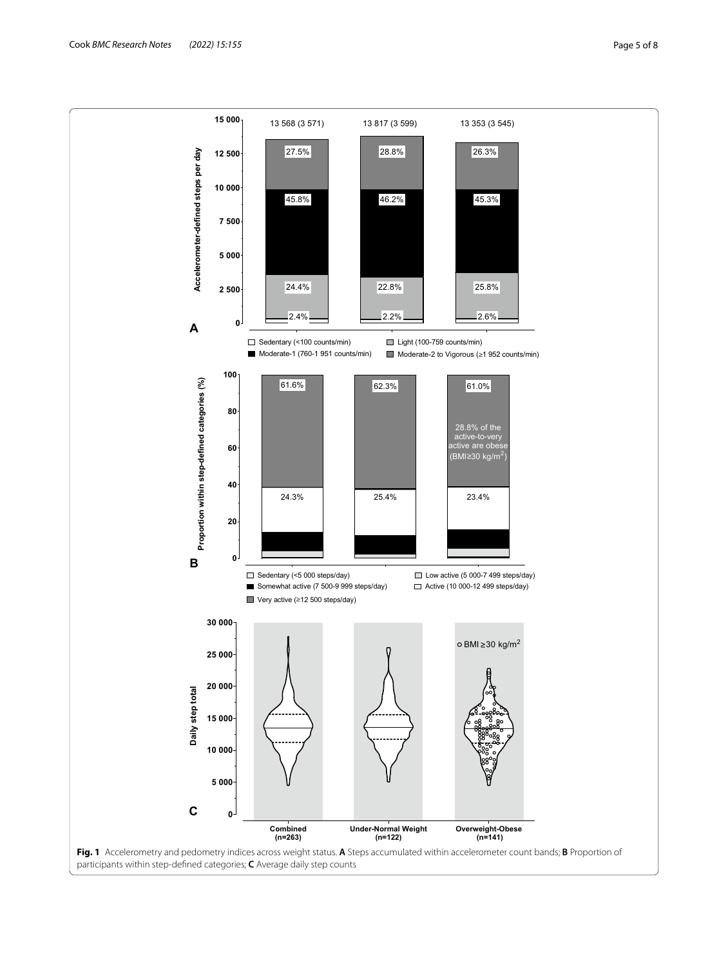<span id="page-4-0"></span>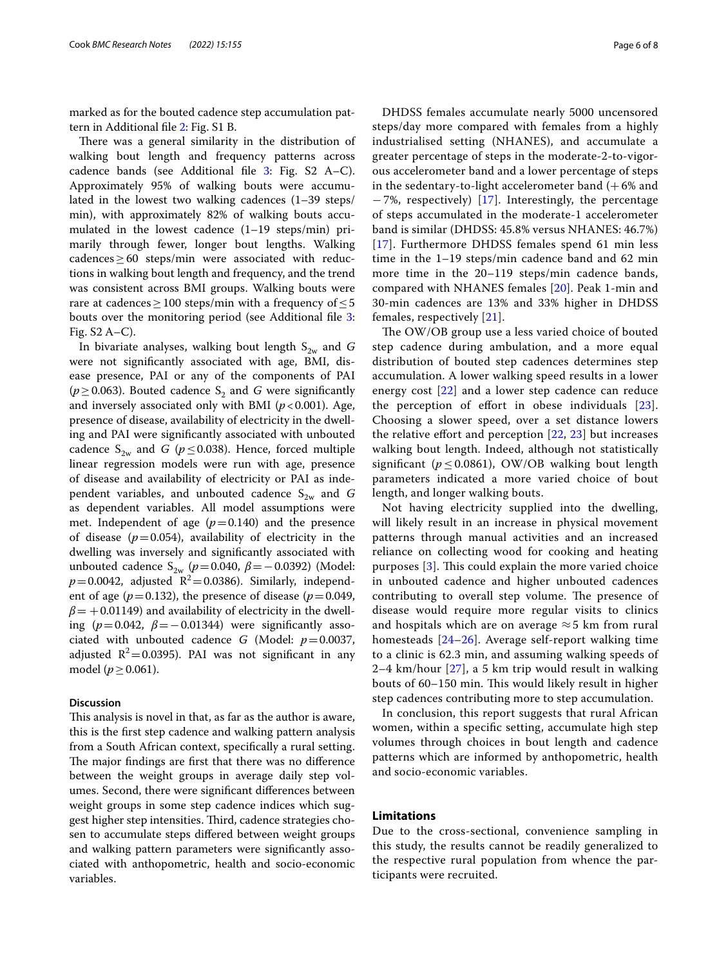marked as for the bouted cadence step accumulation pattern in Additional fle [2:](#page-6-18) Fig. S1 B.

There was a general similarity in the distribution of walking bout length and frequency patterns across cadence bands (see Additional fle [3:](#page-6-19) Fig. S2 A–C). Approximately 95% of walking bouts were accumulated in the lowest two walking cadences (1–39 steps/ min), with approximately 82% of walking bouts accumulated in the lowest cadence (1–19 steps/min) primarily through fewer, longer bout lengths. Walking  $cadences \geq 60$  steps/min were associated with reductions in walking bout length and frequency, and the trend was consistent across BMI groups. Walking bouts were rare at cadences  $\geq$  100 steps/min with a frequency of  $\leq$  5 bouts over the monitoring period (see Additional fle [3](#page-6-19): Fig. S2 A–C).

In bivariate analyses, walking bout length  $S_{2w}$  and *G* were not signifcantly associated with age, BMI, disease presence, PAI or any of the components of PAI ( $p \ge 0.063$ ). Bouted cadence S<sub>2</sub> and G were significantly and inversely associated only with BMI  $(p<0.001)$ . Age, presence of disease, availability of electricity in the dwelling and PAI were signifcantly associated with unbouted cadence  $S_{2w}$  and *G* ( $p \le 0.038$ ). Hence, forced multiple linear regression models were run with age, presence of disease and availability of electricity or PAI as independent variables, and unbouted cadence  $S_{2w}$  and *G* as dependent variables. All model assumptions were met. Independent of age  $(p=0.140)$  and the presence of disease  $(p=0.054)$ , availability of electricity in the dwelling was inversely and signifcantly associated with unbouted cadence S<sub>2w</sub> ( $p$  = 0.040,  $β$  = − 0.0392) (Model:  $p=0.0042$ , adjusted  $R^2=0.0386$ ). Similarly, independent of age ( $p=0.132$ ), the presence of disease ( $p=0.049$ ,  $\beta$  = +0.01149) and availability of electricity in the dwelling ( $p=0.042$ ,  $\beta=-0.01344$ ) were significantly associated with unbouted cadence *G* (Model: *p*=0.0037, adjusted  $R^2$ =0.0395). PAI was not significant in any model (*p*≥0.061).

## **Discussion**

This analysis is novel in that, as far as the author is aware, this is the frst step cadence and walking pattern analysis from a South African context, specifcally a rural setting. The major findings are first that there was no difference between the weight groups in average daily step volumes. Second, there were signifcant diferences between weight groups in some step cadence indices which suggest higher step intensities. Third, cadence strategies chosen to accumulate steps difered between weight groups and walking pattern parameters were signifcantly associated with anthopometric, health and socio-economic variables.

DHDSS females accumulate nearly 5000 uncensored steps/day more compared with females from a highly industrialised setting (NHANES), and accumulate a greater percentage of steps in the moderate-2-to-vigorous accelerometer band and a lower percentage of steps in the sedentary-to-light accelerometer band  $(+6\%$  and −7%, respectively) [\[17](#page-6-15)]. Interestingly, the percentage of steps accumulated in the moderate-1 accelerometer band is similar (DHDSS: 45.8% versus NHANES: 46.7%) [[17](#page-6-15)]. Furthermore DHDSS females spend 61 min less time in the 1–19 steps/min cadence band and 62 min more time in the 20–119 steps/min cadence bands, compared with NHANES females [[20\]](#page-6-20). Peak 1-min and 30-min cadences are 13% and 33% higher in DHDSS females, respectively [\[21\]](#page-6-21).

The OW/OB group use a less varied choice of bouted step cadence during ambulation, and a more equal distribution of bouted step cadences determines step accumulation. A lower walking speed results in a lower energy cost [[22\]](#page-7-0) and a lower step cadence can reduce the perception of effort in obese individuals  $[23]$  $[23]$  $[23]$ . Choosing a slower speed, over a set distance lowers the relative effort and perception  $[22, 23]$  $[22, 23]$  $[22, 23]$  but increases walking bout length. Indeed, although not statistically significant ( $p \le 0.0861$ ), OW/OB walking bout length parameters indicated a more varied choice of bout length, and longer walking bouts.

Not having electricity supplied into the dwelling, will likely result in an increase in physical movement patterns through manual activities and an increased reliance on collecting wood for cooking and heating purposes  $[3]$  $[3]$  $[3]$ . This could explain the more varied choice in unbouted cadence and higher unbouted cadences contributing to overall step volume. The presence of disease would require more regular visits to clinics and hospitals which are on average  $\approx$  5 km from rural homesteads [[24–](#page-7-2)[26\]](#page-7-3). Average self-report walking time to a clinic is 62.3 min, and assuming walking speeds of 2–4 km/hour [[27](#page-7-4)], a 5 km trip would result in walking bouts of 60–150 min. This would likely result in higher step cadences contributing more to step accumulation.

In conclusion, this report suggests that rural African women, within a specifc setting, accumulate high step volumes through choices in bout length and cadence patterns which are informed by anthopometric, health and socio-economic variables.

## **Limitations**

Due to the cross-sectional, convenience sampling in this study, the results cannot be readily generalized to the respective rural population from whence the participants were recruited.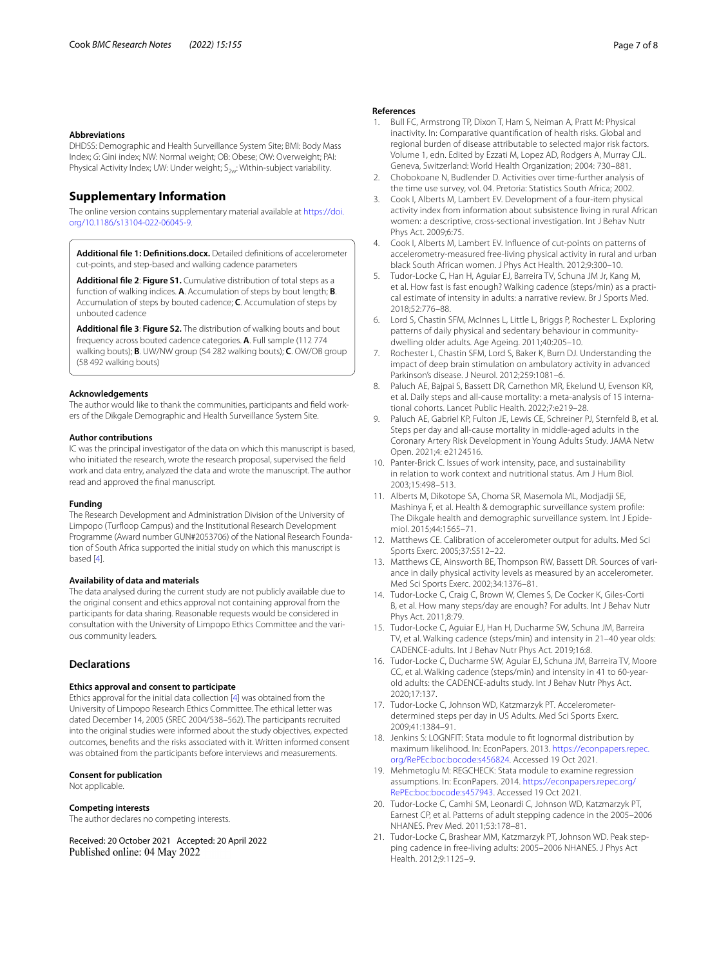#### **Abbreviations**

DHDSS: Demographic and Health Surveillance System Site; BMI: Body Mass Index; *G*: Gini index; NW: Normal weight; OB: Obese; OW: Overweight; PAI: Physical Activity Index; UW: Under weight;  $S_{2w}$ : Within-subject variability.

## **Supplementary Information**

The online version contains supplementary material available at [https://doi.](https://doi.org/10.1186/s13104-022-06045-9) [org/10.1186/s13104-022-06045-9](https://doi.org/10.1186/s13104-022-06045-9).

<span id="page-6-18"></span><span id="page-6-11"></span>**Additional fle 1: Defnitions.docx.** Detailed defnitions of accelerometer cut-points, and step-based and walking cadence parameters

**Additional fle 2**: **Figure S1.** Cumulative distribution of total steps as a function of walking indices. **A**. Accumulation of steps by bout length; **B**. Accumulation of steps by bouted cadence; **C**. Accumulation of steps by unbouted cadence

<span id="page-6-19"></span>**Additional fle 3**: **Figure S2.** The distribution of walking bouts and bout frequency across bouted cadence categories. **A**. Full sample (112 774 walking bouts); **B**. UW/NW group (54 282 walking bouts); **C**. OW/OB group (58 492 walking bouts)

#### **Acknowledgements**

The author would like to thank the communities, participants and feld workers of the Dikgale Demographic and Health Surveillance System Site.

### **Author contributions**

IC was the principal investigator of the data on which this manuscript is based, who initiated the research, wrote the research proposal, supervised the feld work and data entry, analyzed the data and wrote the manuscript. The author read and approved the fnal manuscript.

#### **Funding**

The Research Development and Administration Division of the University of Limpopo (Turfoop Campus) and the Institutional Research Development Programme (Award number GUN#2053706) of the National Research Foundation of South Africa supported the initial study on which this manuscript is based [\[4](#page-6-3)].

## **Availability of data and materials**

The data analysed during the current study are not publicly available due to the original consent and ethics approval not containing approval from the participants for data sharing. Reasonable requests would be considered in consultation with the University of Limpopo Ethics Committee and the various community leaders.

## **Declarations**

## **Ethics approval and consent to participate**

Ethics approval for the initial data collection [[4](#page-6-3)] was obtained from the University of Limpopo Research Ethics Committee. The ethical letter was dated December 14, 2005 (SREC 2004/538–562). The participants recruited into the original studies were informed about the study objectives, expected outcomes, benefts and the risks associated with it. Written informed consent was obtained from the participants before interviews and measurements.

### **Consent for publication**

Not applicable.

#### **Competing interests**

The author declares no competing interests.

Received: 20 October 2021 Accepted: 20 April 2022 Published online: 04 May 2022

#### **References**

- <span id="page-6-0"></span>Bull FC, Armstrong TP, Dixon T, Ham S, Neiman A, Pratt M: Physical inactivity. In: Comparative quantifcation of health risks. Global and regional burden of disease attributable to selected major risk factors. Volume 1, edn. Edited by Ezzati M, Lopez AD, Rodgers A, Murray CJL. Geneva, Switzerland: World Health Organization; 2004: 730–881.
- <span id="page-6-1"></span>2. Chobokoane N, Budlender D. Activities over time-further analysis of the time use survey, vol. 04. Pretoria: Statistics South Africa; 2002.
- <span id="page-6-2"></span>Cook I, Alberts M, Lambert EV. Development of a four-item physical activity index from information about subsistence living in rural African women: a descriptive, cross-sectional investigation. Int J Behav Nutr Phys Act. 2009;6:75.
- <span id="page-6-3"></span>4. Cook I, Alberts M, Lambert EV. Infuence of cut-points on patterns of accelerometry-measured free-living physical activity in rural and urban black South African women. J Phys Act Health. 2012;9:300–10.
- <span id="page-6-4"></span>5. Tudor-Locke C, Han H, Aguiar EJ, Barreira TV, Schuna JM Jr, Kang M, et al. How fast is fast enough? Walking cadence (steps/min) as a practical estimate of intensity in adults: a narrative review. Br J Sports Med. 2018;52:776–88.
- <span id="page-6-5"></span>6. Lord S, Chastin SFM, McInnes L, Little L, Briggs P, Rochester L. Exploring patterns of daily physical and sedentary behaviour in communitydwelling older adults. Age Ageing. 2011;40:205–10.
- <span id="page-6-6"></span>7. Rochester L, Chastin SFM, Lord S, Baker K, Burn DJ. Understanding the impact of deep brain stimulation on ambulatory activity in advanced Parkinson's disease. J Neurol. 2012;259:1081–6.
- <span id="page-6-7"></span>8. Paluch AE, Bajpai S, Bassett DR, Carnethon MR, Ekelund U, Evenson KR, et al. Daily steps and all-cause mortality: a meta-analysis of 15 international cohorts. Lancet Public Health. 2022;7:e219–28.
- <span id="page-6-8"></span>9. Paluch AE, Gabriel KP, Fulton JE, Lewis CE, Schreiner PJ, Sternfeld B, et al. Steps per day and all-cause mortality in middle-aged adults in the Coronary Artery Risk Development in Young Adults Study. JAMA Netw Open. 2021;4: e2124516.
- <span id="page-6-9"></span>10. Panter-Brick C. Issues of work intensity, pace, and sustainability in relation to work context and nutritional status. Am J Hum Biol. 2003;15:498–513.
- <span id="page-6-10"></span>11. Alberts M, Dikotope SA, Choma SR, Masemola ML, Modjadji SE, Mashinya F, et al. Health & demographic surveillance system profle: The Dikgale health and demographic surveillance system. Int J Epidemiol. 2015;44:1565–71.
- <span id="page-6-12"></span>12. Matthews CE. Calibration of accelerometer output for adults. Med Sci Sports Exerc. 2005;37:S512–22.
- <span id="page-6-13"></span>13. Matthews CE, Ainsworth BE, Thompson RW, Bassett DR. Sources of variance in daily physical activity levels as measured by an accelerometer. Med Sci Sports Exerc. 2002;34:1376–81.
- <span id="page-6-14"></span>14. Tudor-Locke C, Craig C, Brown W, Clemes S, De Cocker K, Giles-Corti B, et al. How many steps/day are enough? For adults. Int J Behav Nutr Phys Act. 2011;8:79.
- 15. Tudor-Locke C, Aguiar EJ, Han H, Ducharme SW, Schuna JM, Barreira TV, et al. Walking cadence (steps/min) and intensity in 21–40 year olds: CADENCE-adults. Int J Behav Nutr Phys Act. 2019;16:8.
- 16. Tudor-Locke C, Ducharme SW, Aguiar EJ, Schuna JM, Barreira TV, Moore CC, et al. Walking cadence (steps/min) and intensity in 41 to 60-yearold adults: the CADENCE-adults study. Int J Behav Nutr Phys Act. 2020;17:137.
- <span id="page-6-15"></span>17. Tudor-Locke C, Johnson WD, Katzmarzyk PT. Accelerometerdetermined steps per day in US Adults. Med Sci Sports Exerc. 2009;41:1384–91.
- <span id="page-6-16"></span>18. Jenkins S: LOGNFIT: Stata module to ft lognormal distribution by maximum likelihood. In: EconPapers. 2013. [https://econpapers.repec.](https://econpapers.repec.org/RePEc:boc:bocode:s456824) [org/RePEc:boc:bocode:s456824.](https://econpapers.repec.org/RePEc:boc:bocode:s456824) Accessed 19 Oct 2021.
- <span id="page-6-17"></span>19. Mehmetoglu M: REGCHECK: Stata module to examine regression assumptions. In: EconPapers. 2014. [https://econpapers.repec.org/](https://econpapers.repec.org/RePEc:boc:bocode:s457943) [RePEc:boc:bocode:s457943.](https://econpapers.repec.org/RePEc:boc:bocode:s457943) Accessed 19 Oct 2021.
- <span id="page-6-20"></span>20. Tudor-Locke C, Camhi SM, Leonardi C, Johnson WD, Katzmarzyk PT, Earnest CP, et al. Patterns of adult stepping cadence in the 2005–2006 NHANES. Prev Med. 2011;53:178–81.
- <span id="page-6-21"></span>21. Tudor-Locke C, Brashear MM, Katzmarzyk PT, Johnson WD. Peak stepping cadence in free-living adults: 2005–2006 NHANES. J Phys Act Health. 2012;9:1125–9.